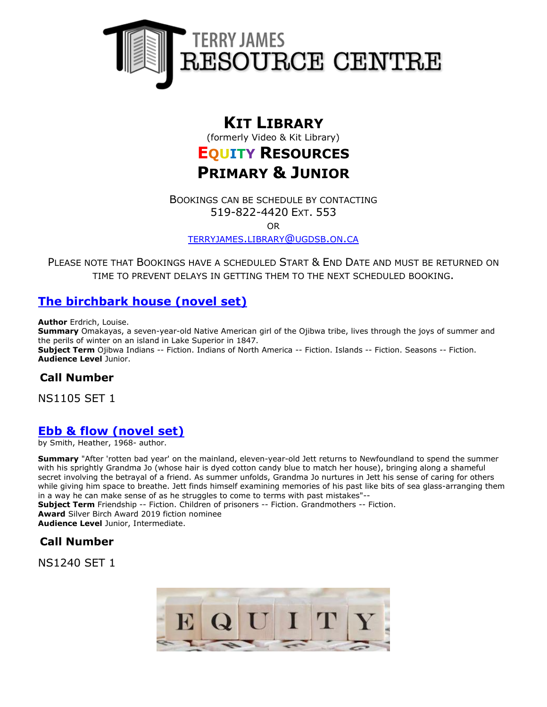

# **KIT LIBRARY**

(formerly Video & Kit Library)

# **EQUITY RESOURCES PRIMARY & JUNIOR**

BOOKINGS CAN BE SCHEDULE BY CONTACTING 519-822-4420 EXT. 553

OR

[TERRYJAMES](mailto:terryjames.library@ugdsb.on.ca).LIBRARY@UGDSB.ON.CA

PLEASE NOTE THAT BOOKINGS HAVE A SCHEDULED START & END DATE AND MUST BE RETURNED ON TIME TO PREVENT DELAYS IN GETTING THEM TO THE NEXT SCHEDULED BOOKING.

# **[The birchbark house \(novel set\)](https://ug.ent.sirsidynix.net/client/en_CA/TJR/search/detailnonmodal/ent:$002f$002fSD_ILS$002f0$002fSD_ILS:159340/email?dt=list)**

**Author** Erdrich, Louise.

**Summary** Omakayas, a seven-year-old Native American girl of the Ojibwa tribe, lives through the joys of summer and the perils of winter on an island in Lake Superior in 1847. **Subject Term** Ojibwa Indians -- Fiction. Indians of North America -- Fiction. Islands -- Fiction. Seasons -- Fiction. **Audience Level** Junior.

## **Call Number**

NS1105 SET 1

## **[Ebb & flow \(novel set\)](https://ug.ent.sirsidynix.net/client/en_CA/TJR/search/detailnonmodal/ent:$002f$002fSD_ILS$002f0$002fSD_ILS:323489/email?qu=ebb+and+flow&d=ent%3A%2F%2FSD_ILS%2F0%2FSD_ILS%3A323489%7E%7E0&te=ILS&lm=MCKITS)**

by Smith, Heather, 1968- author.

**Summary** "After 'rotten bad year' on the mainland, eleven-year-old Jett returns to Newfoundland to spend the summer with his sprightly Grandma Jo (whose hair is dyed cotton candy blue to match her house), bringing along a shameful secret involving the betrayal of a friend. As summer unfolds, Grandma Jo nurtures in Jett his sense of caring for others while giving him space to breathe. Jett finds himself examining memories of his past like bits of sea glass-arranging them in a way he can make sense of as he struggles to come to terms with past mistakes"--

**Subject Term** Friendship -- Fiction. Children of prisoners -- Fiction. Grandmothers -- Fiction. **Award** Silver Birch Award 2019 fiction nominee **Audience Level** Junior, Intermediate.

#### **Call Number**

NS1240 SET 1

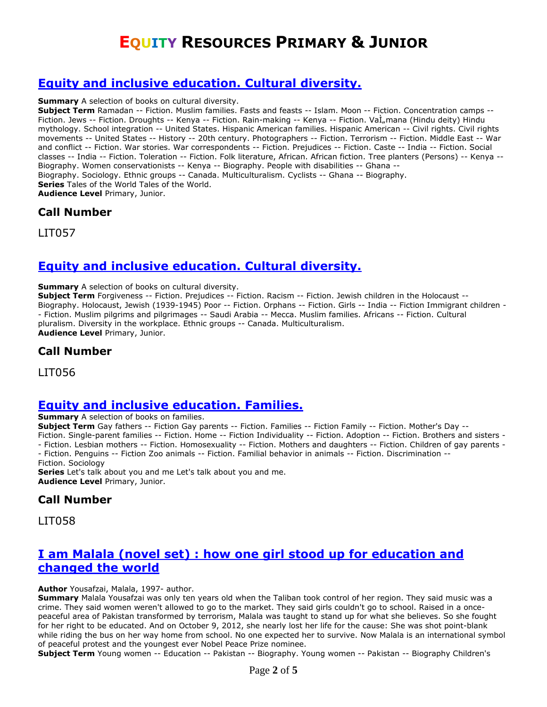# **[Equity and inclusive education. Cultural diversity.](https://ug.ent.sirsidynix.net/client/en_CA/TJR/search/detailnonmodal/ent:$002f$002fSD_ILS$002f0$002fSD_ILS:285744/email?dt=list)**

**Summary** A selection of books on cultural diversity.

**Subject Term** Ramadan -- Fiction. Muslim families. Fasts and feasts -- Islam. Moon -- Fiction. Concentration camps -- Fiction. Jews -- Fiction. Droughts -- Kenya -- Fiction. Rain-making -- Kenya -- Fiction. Vaİ<sub>n</sub>mana (Hindu deity) Hindu mythology. School integration -- United States. Hispanic American families. Hispanic American -- Civil rights. Civil rights movements -- United States -- History -- 20th century. Photographers -- Fiction. Terrorism -- Fiction. Middle East -- War and conflict -- Fiction. War stories. War correspondents -- Fiction. Prejudices -- Fiction. Caste -- India -- Fiction. Social classes -- India -- Fiction. Toleration -- Fiction. Folk literature, African. African fiction. Tree planters (Persons) -- Kenya -- Biography. Women conservationists -- Kenya -- Biography. People with disabilities -- Ghana -- Biography. Sociology. Ethnic groups -- Canada. Multiculturalism. Cyclists -- Ghana -- Biography. **Series** Tales of the World Tales of the World. **Audience Level** Primary, Junior.

#### **Call Number**

LIT057

# **[Equity and inclusive education. Cultural diversity.](https://ug.ent.sirsidynix.net/client/en_CA/TJR/search/detailnonmodal/ent:$002f$002fSD_ILS$002f0$002fSD_ILS:285706/email?dt=list)**

**Summary** A selection of books on cultural diversity.

**Subject Term** Forgiveness -- Fiction. Prejudices -- Fiction. Racism -- Fiction. Jewish children in the Holocaust -- Biography. Holocaust, Jewish (1939-1945) Poor -- Fiction. Orphans -- Fiction. Girls -- India -- Fiction Immigrant children - - Fiction. Muslim pilgrims and pilgrimages -- Saudi Arabia -- Mecca. Muslim families. Africans -- Fiction. Cultural pluralism. Diversity in the workplace. Ethnic groups -- Canada. Multiculturalism. **Audience Level** Primary, Junior.

**Call Number**

LIT056

#### **[Equity and inclusive education. Families.](https://ug.ent.sirsidynix.net/client/en_CA/TJR/search/detailnonmodal/ent:$002f$002fSD_ILS$002f0$002fSD_ILS:287250/email?qu=equity+and+inclusive+education&qf=UG_AUDIENCE_LEVEL%09Audience+Level%09Professional.+Primary.%09Professional.+Primary.+%7C%7C+Primary%2C+Junior.%09Primary%2C+Junior.&qf=LANGUAGE%09Language%09ENG%09English&te=ILS&lm=MCKITS&st=TL)**

**Summary** A selection of books on families.

**Subject Term** Gay fathers -- Fiction Gay parents -- Fiction. Families -- Fiction Family -- Fiction. Mother's Day --

Fiction. Single-parent families -- Fiction. Home -- Fiction Individuality -- Fiction. Adoption -- Fiction. Brothers and sisters - - Fiction. Lesbian mothers -- Fiction. Homosexuality -- Fiction. Mothers and daughters -- Fiction. Children of gay parents -

- Fiction. Penguins -- Fiction Zoo animals -- Fiction. Familial behavior in animals -- Fiction. Discrimination -- Fiction. Sociology

**Series** Let's talk about you and me Let's talk about you and me. **Audience Level** Primary, Junior.

## **Call Number**

LIT058

## **I am Malala (novel set) : [how one girl stood up for education and](https://ug.ent.sirsidynix.net/client/en_CA/TJR/search/detailnonmodal/ent:$002f$002fSD_ILS$002f0$002fSD_ILS:285462/email?dt=list)  [changed the world](https://ug.ent.sirsidynix.net/client/en_CA/TJR/search/detailnonmodal/ent:$002f$002fSD_ILS$002f0$002fSD_ILS:285462/email?dt=list)**

**Author** Yousafzai, Malala, 1997- author.

**Summary** Malala Yousafzai was only ten years old when the Taliban took control of her region. They said music was a crime. They said women weren't allowed to go to the market. They said girls couldn't go to school. Raised in a oncepeaceful area of Pakistan transformed by terrorism, Malala was taught to stand up for what she believes. So she fought for her right to be educated. And on October 9, 2012, she nearly lost her life for the cause: She was shot point-blank while riding the bus on her way home from school. No one expected her to survive. Now Malala is an international symbol of peaceful protest and the youngest ever Nobel Peace Prize nominee.

**Subject Term** Young women -- Education -- Pakistan -- Biography. Young women -- Pakistan -- Biography Children's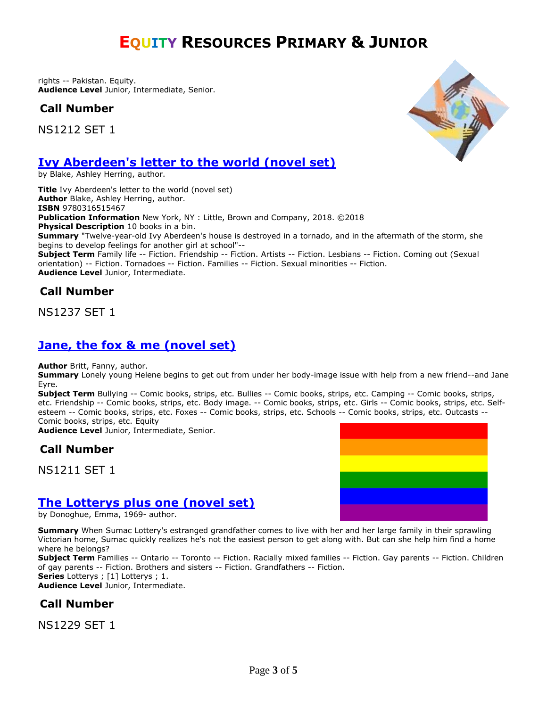rights -- Pakistan. Equity. **Audience Level** Junior, Intermediate, Senior.

**Call Number**

NS1212 SET 1



## **[Ivy Aberdeen's letter to the world \(novel set\)](https://ug.ent.sirsidynix.net/client/en_CA/TJR/search/detailnonmodal/ent:$002f$002fSD_ILS$002f0$002fSD_ILS:323480/email?qu=ivy+aberdeen&d=ent%3A%2F%2FSD_ILS%2F0%2FSD_ILS%3A323480%7E%7E0&te=ILS&lm=MCKITS)**

by Blake, Ashley Herring, author.

**Title** Ivy Aberdeen's letter to the world (novel set) **Author** Blake, Ashley Herring, author. **ISBN** 9780316515467 **Publication Information** New York, NY : Little, Brown and Company, 2018. ©2018 **Physical Description** 10 books in a bin. **Summary** "Twelve-year-old Ivy Aberdeen's house is destroyed in a tornado, and in the aftermath of the storm, she begins to develop feelings for another girl at school"-- **Subject Term** Family life -- Fiction. Friendship -- Fiction. Artists -- Fiction. Lesbians -- Fiction. Coming out (Sexual orientation) -- Fiction. Tornadoes -- Fiction. Families -- Fiction. Sexual minorities -- Fiction. **Audience Level** Junior, Intermediate.

# **Call Number**

NS1237 SET 1

# **[Jane, the fox & me \(novel set\)](https://ug.ent.sirsidynix.net/client/en_CA/TJR/search/detailnonmodal/ent:$002f$002fSD_ILS$002f0$002fSD_ILS:283396/email?dt=list)**

**Author** Britt, Fanny, author.

**Summary** Lonely young Helene begins to get out from under her body-image issue with help from a new friend--and Jane Eyre.

**Subject Term** Bullying -- Comic books, strips, etc. Bullies -- Comic books, strips, etc. Camping -- Comic books, strips, etc. Friendship -- Comic books, strips, etc. Body image. -- Comic books, strips, etc. Girls -- Comic books, strips, etc. Selfesteem -- Comic books, strips, etc. Foxes -- Comic books, strips, etc. Schools -- Comic books, strips, etc. Outcasts -- Comic books, strips, etc. Equity

**Audience Level** Junior, Intermediate, Senior.

## **Call Number**

NS1211 SET 1



## **[The Lotterys plus one \(novel set\)](https://ug.ent.sirsidynix.net/client/en_CA/TJR/search/detailnonmodal/ent:$002f$002fSD_ILS$002f0$002fSD_ILS:315984/email?qu=the+lottery+plus+one&d=ent%3A%2F%2FSD_ILS%2F0%2FSD_ILS%3A315984%7E%7E0&te=ILS&lm=MCKITS)**

by Donoghue, Emma, 1969- author.

**Summary** When Sumac Lottery's estranged grandfather comes to live with her and her large family in their sprawling Victorian home, Sumac quickly realizes he's not the easiest person to get along with. But can she help him find a home where he belongs?

**Subject Term** Families -- Ontario -- Toronto -- Fiction. Racially mixed families -- Fiction. Gay parents -- Fiction. Children of gay parents -- Fiction. Brothers and sisters -- Fiction. Grandfathers -- Fiction.

**Series** Lotterys ; [1] Lotterys ; 1.

**Audience Level** Junior, Intermediate.

## **Call Number**

NS1229 SET 1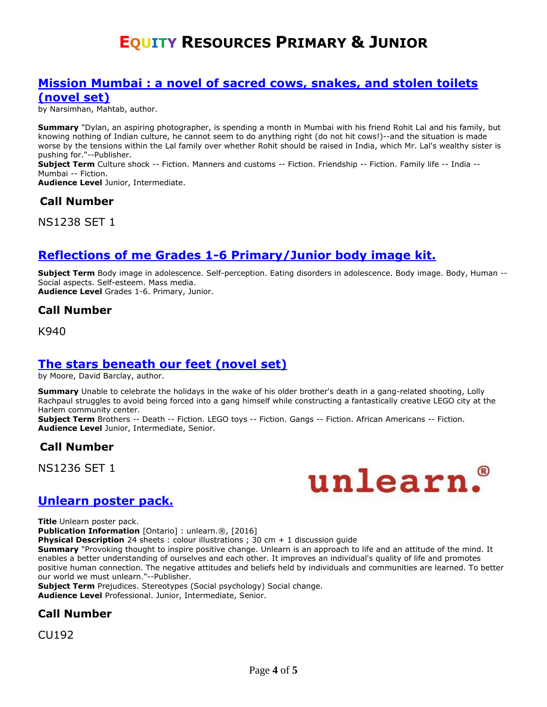#### **[Mission Mumbai : a novel of sacred cows, snakes, and stolen toilets](https://ug.ent.sirsidynix.net/client/en_CA/TJR/search/detailnonmodal/ent:$002f$002fSD_ILS$002f0$002fSD_ILS:323487/email?qu=mission+mumbai&d=ent%3A%2F%2FSD_ILS%2F0%2FSD_ILS%3A323487%7E%7E0&te=ILS&lm=MCKITS)  [\(novel set\)](https://ug.ent.sirsidynix.net/client/en_CA/TJR/search/detailnonmodal/ent:$002f$002fSD_ILS$002f0$002fSD_ILS:323487/email?qu=mission+mumbai&d=ent%3A%2F%2FSD_ILS%2F0%2FSD_ILS%3A323487%7E%7E0&te=ILS&lm=MCKITS)**

by Narsimhan, Mahtab, author.

**Summary** "Dylan, an aspiring photographer, is spending a month in Mumbai with his friend Rohit Lal and his family, but knowing nothing of Indian culture, he cannot seem to do anything right (do not hit cows!)--and the situation is made worse by the tensions within the Lal family over whether Rohit should be raised in India, which Mr. Lal's wealthy sister is pushing for."--Publisher.

**Subject Term** Culture shock -- Fiction. Manners and customs -- Fiction. Friendship -- Fiction. Family life -- India -- Mumbai -- Fiction.

**Audience Level** Junior, Intermediate.

#### **Call Number**

NS1238 SET 1

#### **[Reflections of me Grades 1-6 Primary/Junior body image kit.](https://ug.ent.sirsidynix.net/client/en_CA/TJR/search/detailnonmodal/ent:$002f$002fSD_ILS$002f0$002fSD_ILS:196902/email?dt=list)**

**Subject Term** Body image in adolescence. Self-perception. Eating disorders in adolescence. Body image. Body, Human -- Social aspects. Self-esteem. Mass media. **Audience Level** Grades 1-6. Primary, Junior.

#### **Call Number**

K940

#### **[The stars beneath our feet \(novel set\)](https://ug.ent.sirsidynix.net/client/en_CA/TJR/search/detailnonmodal/ent:$002f$002fSD_ILS$002f0$002fSD_ILS:323477/email?qu=the+stars+beneath+our+feet&d=ent%3A%2F%2FSD_ILS%2F0%2FSD_ILS%3A323477%7E%7E0&te=ILS&lm=MCKITS)**

by Moore, David Barclay, author.

**Summary** Unable to celebrate the holidays in the wake of his older brother's death in a gang-related shooting, Lolly Rachpaul struggles to avoid being forced into a gang himself while constructing a fantastically creative LEGO city at the Harlem community center.

**Subject Term** Brothers -- Death -- Fiction. LEGO toys -- Fiction. Gangs -- Fiction. African Americans -- Fiction. **Audience Level** Junior, Intermediate, Senior.

#### **Call Number**

NS1236 SET 1



#### **[Unlearn poster pack.](https://ug.ent.sirsidynix.net/client/en_CA/TJR/search/detailnonmodal/ent:$002f$002fSD_ILS$002f0$002fSD_ILS:319388/email?qu=unlearn&d=ent%3A%2F%2FSD_ILS%2F0%2FSD_ILS%3A319388%7EILS%7E0&te=ILS&lm=VID)**

**Title** Unlearn poster pack.

**Publication Information** [Ontario] : unlearn.®, [2016]

**Physical Description** 24 sheets : colour illustrations ; 30 cm + 1 discussion quide

**Summary** "Provoking thought to inspire positive change. Unlearn is an approach to life and an attitude of the mind. It enables a better understanding of ourselves and each other. It improves an individual's quality of life and promotes positive human connection. The negative attitudes and beliefs held by individuals and communities are learned. To better our world we must unlearn."--Publisher.

**Subject Term** Prejudices. Stereotypes (Social psychology) Social change. **Audience Level** Professional. Junior, Intermediate, Senior.

#### **Call Number**

CU192